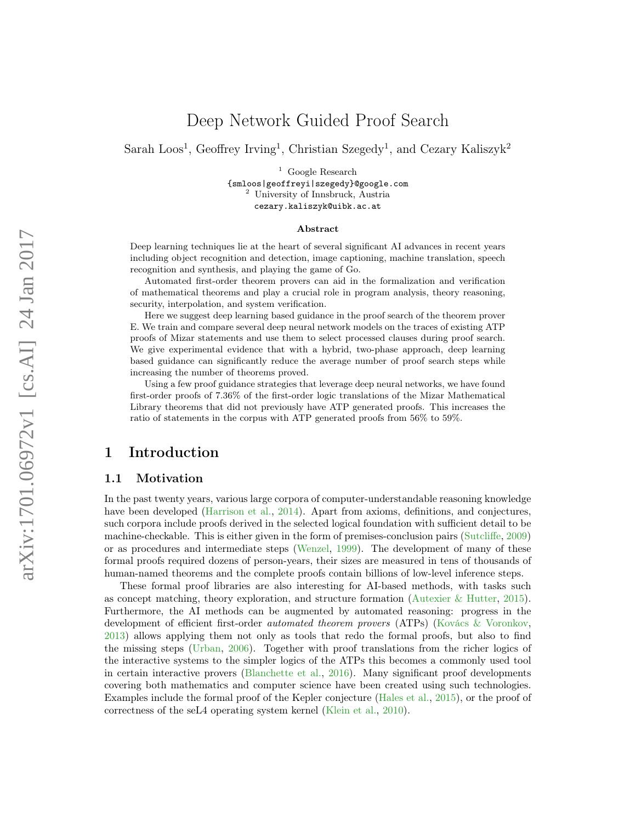## Deep Network Guided Proof Search

Sarah Loos<sup>1</sup>, Geoffrey Irving<sup>1</sup>, Christian Szegedy<sup>1</sup>, and Cezary Kaliszyk<sup>2</sup>

<sup>1</sup> Google Research {smloos|geoffreyi|szegedy}@google.com <sup>2</sup> University of Innsbruck, Austria cezary.kaliszyk@uibk.ac.at

#### Abstract

Deep learning techniques lie at the heart of several significant AI advances in recent years including object recognition and detection, image captioning, machine translation, speech recognition and synthesis, and playing the game of Go.

Automated first-order theorem provers can aid in the formalization and verification of mathematical theorems and play a crucial role in program analysis, theory reasoning, security, interpolation, and system verification.

Here we suggest deep learning based guidance in the proof search of the theorem prover E. We train and compare several deep neural network models on the traces of existing ATP proofs of Mizar statements and use them to select processed clauses during proof search. We give experimental evidence that with a hybrid, two-phase approach, deep learning based guidance can significantly reduce the average number of proof search steps while increasing the number of theorems proved.

Using a few proof guidance strategies that leverage deep neural networks, we have found first-order proofs of 7.36% of the first-order logic translations of the Mizar Mathematical Library theorems that did not previously have ATP generated proofs. This increases the ratio of statements in the corpus with ATP generated proofs from 56% to 59%.

## 1 Introduction

#### 1.1 Motivation

In the past twenty years, various large corpora of computer-understandable reasoning knowledge have been developed [\(Harrison et al.,](#page-15-0) [2014\)](#page-15-0). Apart from axioms, definitions, and conjectures, such corpora include proofs derived in the selected logical foundation with sufficient detail to be machine-checkable. This is either given in the form of premises-conclusion pairs [\(Sutcliffe,](#page-17-0) [2009\)](#page-17-0) or as procedures and intermediate steps [\(Wenzel,](#page-17-1) [1999\)](#page-17-1). The development of many of these formal proofs required dozens of person-years, their sizes are measured in tens of thousands of human-named theorems and the complete proofs contain billions of low-level inference steps.

These formal proof libraries are also interesting for AI-based methods, with tasks such as concept matching, theory exploration, and structure formation [\(Autexier & Hutter,](#page-14-0) [2015\)](#page-14-0). Furthermore, the AI methods can be augmented by automated reasoning: progress in the development of efficient first-order automated theorem provers (ATPs) [\(Kovács & Voronkov,](#page-16-0) [2013\)](#page-16-0) allows applying them not only as tools that redo the formal proofs, but also to find the missing steps [\(Urban,](#page-17-2) [2006\)](#page-17-2). Together with proof translations from the richer logics of the interactive systems to the simpler logics of the ATPs this becomes a commonly used tool in certain interactive provers [\(Blanchette et al.,](#page-14-1) [2016\)](#page-14-1). Many significant proof developments covering both mathematics and computer science have been created using such technologies. Examples include the formal proof of the Kepler conjecture [\(Hales et al.,](#page-15-1) [2015\)](#page-15-1), or the proof of correctness of the seL4 operating system kernel [\(Klein et al.,](#page-16-1) [2010\)](#page-16-1).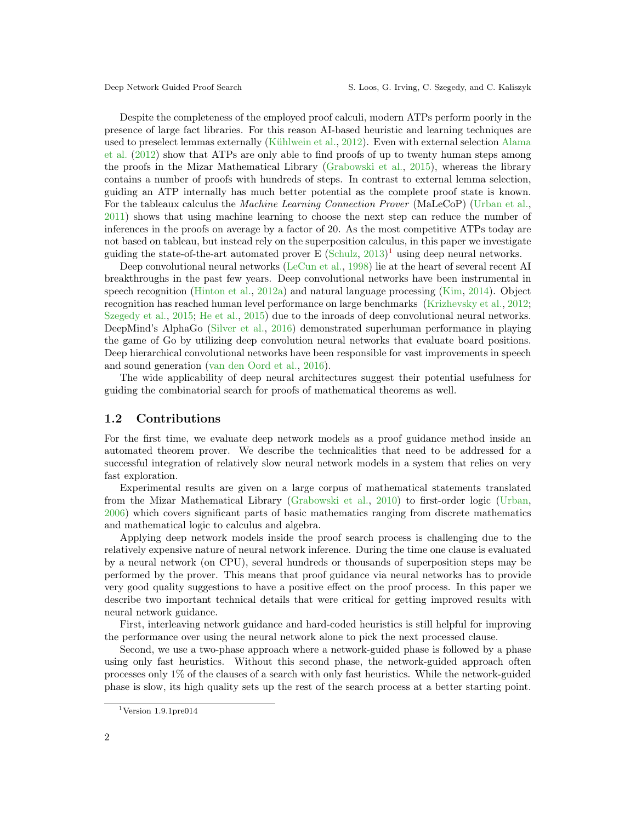Despite the completeness of the employed proof calculi, modern ATPs perform poorly in the presence of large fact libraries. For this reason AI-based heuristic and learning techniques are used to preselect lemmas externally [\(Kühlwein et al.,](#page-16-2) [2012\)](#page-16-2). Even with external selection [Alama](#page-14-2) [et al.](#page-14-2) [\(2012\)](#page-14-2) show that ATPs are only able to find proofs of up to twenty human steps among the proofs in the Mizar Mathematical Library [\(Grabowski et al.,](#page-15-2) [2015\)](#page-15-2), whereas the library contains a number of proofs with hundreds of steps. In contrast to external lemma selection, guiding an ATP internally has much better potential as the complete proof state is known. For the tableaux calculus the Machine Learning Connection Prover (MaLeCoP) [\(Urban et al.,](#page-17-3) [2011\)](#page-17-3) shows that using machine learning to choose the next step can reduce the number of inferences in the proofs on average by a factor of 20. As the most competitive ATPs today are not based on tableau, but instead rely on the superposition calculus, in this paper we investigate guiding the state-of-the-art automated prover E  $(Schulz, 2013)^1$  $(Schulz, 2013)^1$  $(Schulz, 2013)^1$  $(Schulz, 2013)^1$  using deep neural networks.

Deep convolutional neural networks [\(LeCun et al.,](#page-16-3) [1998\)](#page-16-3) lie at the heart of several recent AI breakthroughs in the past few years. Deep convolutional networks have been instrumental in speech recognition [\(Hinton et al.,](#page-15-3) [2012a\)](#page-15-3) and natural language processing [\(Kim,](#page-16-4) [2014\)](#page-16-4). Object recognition has reached human level performance on large benchmarks [\(Krizhevsky et al.,](#page-16-5) [2012;](#page-16-5) [Szegedy et al.,](#page-17-5) [2015;](#page-17-5) [He et al.,](#page-15-4) [2015\)](#page-15-4) due to the inroads of deep convolutional neural networks. DeepMind's AlphaGo [\(Silver et al.,](#page-17-6) [2016\)](#page-17-6) demonstrated superhuman performance in playing the game of Go by utilizing deep convolution neural networks that evaluate board positions. Deep hierarchical convolutional networks have been responsible for vast improvements in speech and sound generation [\(van den Oord et al.,](#page-16-6) [2016\)](#page-16-6).

The wide applicability of deep neural architectures suggest their potential usefulness for guiding the combinatorial search for proofs of mathematical theorems as well.

#### 1.2 Contributions

For the first time, we evaluate deep network models as a proof guidance method inside an automated theorem prover. We describe the technicalities that need to be addressed for a successful integration of relatively slow neural network models in a system that relies on very fast exploration.

Experimental results are given on a large corpus of mathematical statements translated from the Mizar Mathematical Library [\(Grabowski et al.,](#page-15-5) [2010\)](#page-15-5) to first-order logic [\(Urban,](#page-17-2) [2006\)](#page-17-2) which covers significant parts of basic mathematics ranging from discrete mathematics and mathematical logic to calculus and algebra.

Applying deep network models inside the proof search process is challenging due to the relatively expensive nature of neural network inference. During the time one clause is evaluated by a neural network (on CPU), several hundreds or thousands of superposition steps may be performed by the prover. This means that proof guidance via neural networks has to provide very good quality suggestions to have a positive effect on the proof process. In this paper we describe two important technical details that were critical for getting improved results with neural network guidance.

First, interleaving network guidance and hard-coded heuristics is still helpful for improving the performance over using the neural network alone to pick the next processed clause.

Second, we use a two-phase approach where a network-guided phase is followed by a phase using only fast heuristics. Without this second phase, the network-guided approach often processes only 1% of the clauses of a search with only fast heuristics. While the network-guided phase is slow, its high quality sets up the rest of the search process at a better starting point.

<span id="page-1-0"></span> $1$ Version 1.9.1pre014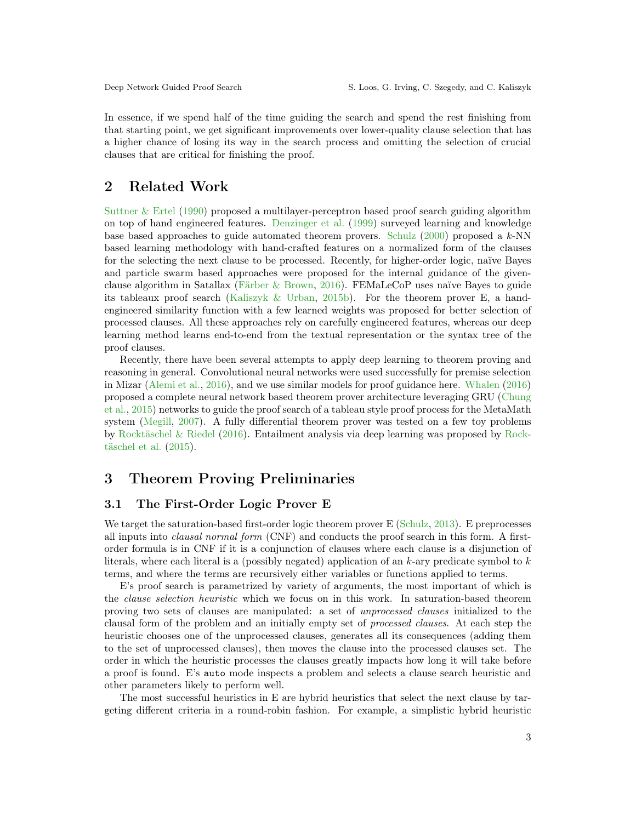In essence, if we spend half of the time guiding the search and spend the rest finishing from that starting point, we get significant improvements over lower-quality clause selection that has a higher chance of losing its way in the search process and omitting the selection of crucial clauses that are critical for finishing the proof.

## 2 Related Work

[Suttner & Ertel](#page-17-7) [\(1990\)](#page-17-7) proposed a multilayer-perceptron based proof search guiding algorithm on top of hand engineered features. [Denzinger et al.](#page-15-6) [\(1999\)](#page-15-6) surveyed learning and knowledge base based approaches to guide automated theorem provers. [Schulz](#page-16-7) [\(2000\)](#page-16-7) proposed a k-NN based learning methodology with hand-crafted features on a normalized form of the clauses for the selecting the next clause to be processed. Recently, for higher-order logic, naïve Bayes and particle swarm based approaches were proposed for the internal guidance of the givenclause algorithm in Satallax [\(Färber & Brown,](#page-15-7) [2016\)](#page-15-7). FEMaLeCoP uses naïve Bayes to guide its tableaux proof search [\(Kaliszyk & Urban,](#page-16-8) [2015b\)](#page-16-8). For the theorem prover E, a handengineered similarity function with a few learned weights was proposed for better selection of processed clauses. All these approaches rely on carefully engineered features, whereas our deep learning method learns end-to-end from the textual representation or the syntax tree of the proof clauses.

Recently, there have been several attempts to apply deep learning to theorem proving and reasoning in general. Convolutional neural networks were used successfully for premise selection in Mizar [\(Alemi et al.,](#page-14-3) [2016\)](#page-14-3), and we use similar models for proof guidance here. [Whalen](#page-17-8) [\(2016\)](#page-17-8) proposed a complete neural network based theorem prover architecture leveraging GRU [\(Chung](#page-15-8) [et al.,](#page-15-8) [2015\)](#page-15-8) networks to guide the proof search of a tableau style proof process for the MetaMath system [\(Megill,](#page-16-9) [2007\)](#page-16-9). A fully differential theorem prover was tested on a few toy problems by [Rocktäschel & Riedel](#page-16-10) [\(2016\)](#page-16-10). Entailment analysis via deep learning was proposed by [Rock](#page-16-11)[täschel et al.](#page-16-11) [\(2015\)](#page-16-11).

## 3 Theorem Proving Preliminaries

#### 3.1 The First-Order Logic Prover E

We target the saturation-based first-order logic theorem prover E [\(Schulz,](#page-17-4) [2013\)](#page-17-4). E preprocesses all inputs into clausal normal form (CNF) and conducts the proof search in this form. A firstorder formula is in CNF if it is a conjunction of clauses where each clause is a disjunction of literals, where each literal is a (possibly negated) application of an  $k$ -ary predicate symbol to  $k$ terms, and where the terms are recursively either variables or functions applied to terms.

E's proof search is parametrized by variety of arguments, the most important of which is the clause selection heuristic which we focus on in this work. In saturation-based theorem proving two sets of clauses are manipulated: a set of unprocessed clauses initialized to the clausal form of the problem and an initially empty set of processed clauses. At each step the heuristic chooses one of the unprocessed clauses, generates all its consequences (adding them to the set of unprocessed clauses), then moves the clause into the processed clauses set. The order in which the heuristic processes the clauses greatly impacts how long it will take before a proof is found. E's auto mode inspects a problem and selects a clause search heuristic and other parameters likely to perform well.

The most successful heuristics in E are hybrid heuristics that select the next clause by targeting different criteria in a round-robin fashion. For example, a simplistic hybrid heuristic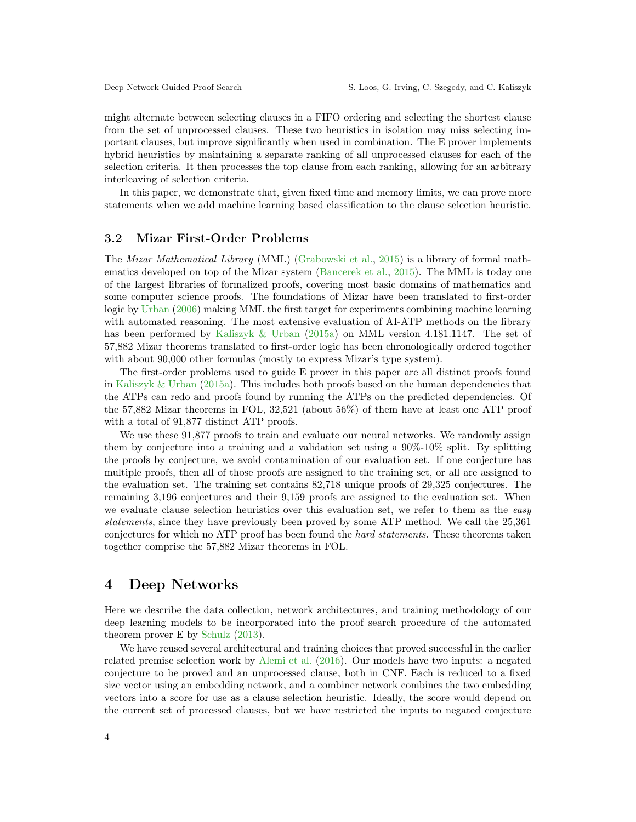might alternate between selecting clauses in a FIFO ordering and selecting the shortest clause from the set of unprocessed clauses. These two heuristics in isolation may miss selecting important clauses, but improve significantly when used in combination. The E prover implements hybrid heuristics by maintaining a separate ranking of all unprocessed clauses for each of the selection criteria. It then processes the top clause from each ranking, allowing for an arbitrary interleaving of selection criteria.

In this paper, we demonstrate that, given fixed time and memory limits, we can prove more statements when we add machine learning based classification to the clause selection heuristic.

#### <span id="page-3-0"></span>3.2 Mizar First-Order Problems

The Mizar Mathematical Library (MML) [\(Grabowski et al.,](#page-15-2) [2015\)](#page-15-2) is a library of formal mathematics developed on top of the Mizar system [\(Bancerek et al.,](#page-14-4) [2015\)](#page-14-4). The MML is today one of the largest libraries of formalized proofs, covering most basic domains of mathematics and some computer science proofs. The foundations of Mizar have been translated to first-order logic by [Urban](#page-17-2) [\(2006\)](#page-17-2) making MML the first target for experiments combining machine learning with automated reasoning. The most extensive evaluation of AI-ATP methods on the library has been performed by [Kaliszyk & Urban](#page-15-9) [\(2015a\)](#page-15-9) on MML version 4.181.1147. The set of 57,882 Mizar theorems translated to first-order logic has been chronologically ordered together with about 90,000 other formulas (mostly to express Mizar's type system).

The first-order problems used to guide E prover in this paper are all distinct proofs found in [Kaliszyk & Urban](#page-15-9) [\(2015a\)](#page-15-9). This includes both proofs based on the human dependencies that the ATPs can redo and proofs found by running the ATPs on the predicted dependencies. Of the 57,882 Mizar theorems in FOL, 32,521 (about 56%) of them have at least one ATP proof with a total of 91,877 distinct ATP proofs.

We use these  $91.877$  proofs to train and evaluate our neural networks. We randomly assign them by conjecture into a training and a validation set using a  $90\%$ -10% split. By splitting the proofs by conjecture, we avoid contamination of our evaluation set. If one conjecture has multiple proofs, then all of those proofs are assigned to the training set, or all are assigned to the evaluation set. The training set contains 82,718 unique proofs of 29,325 conjectures. The remaining 3,196 conjectures and their 9,159 proofs are assigned to the evaluation set. When we evaluate clause selection heuristics over this evaluation set, we refer to them as the easy statements, since they have previously been proved by some ATP method. We call the 25,361 conjectures for which no ATP proof has been found the hard statements. These theorems taken together comprise the 57,882 Mizar theorems in FOL.

## <span id="page-3-1"></span>4 Deep Networks

Here we describe the data collection, network architectures, and training methodology of our deep learning models to be incorporated into the proof search procedure of the automated theorem prover E by [Schulz](#page-17-4) [\(2013\)](#page-17-4).

We have reused several architectural and training choices that proved successful in the earlier related premise selection work by [Alemi et al.](#page-14-3) [\(2016\)](#page-14-3). Our models have two inputs: a negated conjecture to be proved and an unprocessed clause, both in CNF. Each is reduced to a fixed size vector using an embedding network, and a combiner network combines the two embedding vectors into a score for use as a clause selection heuristic. Ideally, the score would depend on the current set of processed clauses, but we have restricted the inputs to negated conjecture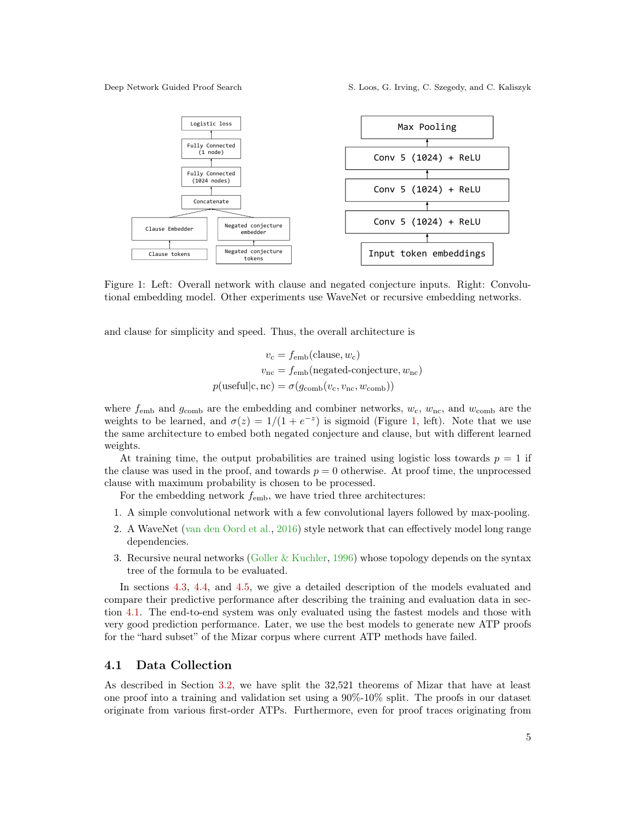Deep Network Guided Proof Search S. Loos, G. Irving, C. Szegedy, and C. Kaliszyk

<span id="page-4-0"></span>

Figure 1: Left: Overall network with clause and negated conjecture inputs. Right: Convolutional embedding model. Other experiments use WaveNet or recursive embedding networks.

and clause for simplicity and speed. Thus, the overall architecture is

$$
v_{\rm c} = f_{\rm emb}(\text{clause}, w_{\rm c})
$$

$$
v_{\rm nc} = f_{\rm emb}(\text{negated-conjecture}, w_{\rm nc})
$$

$$
p(\text{usefull}|c, \text{nc}) = \sigma(g_{\rm comb}(v_{\rm c}, v_{\rm nc}, w_{\rm comb}))
$$

where  $f_{\rm emb}$  and  $g_{\rm comb}$  are the embedding and combiner networks,  $w_c$ ,  $w_{\rm nc}$ , and  $w_{\rm comb}$  are the weights to be learned, and  $\sigma(z) = 1/(1 + e^{-z})$  is sigmoid (Figure [1,](#page-4-0) left). Note that we use the same architecture to embed both negated conjecture and clause, but with different learned weights.

At training time, the output probabilities are trained using logistic loss towards  $p = 1$  if the clause was used in the proof, and towards  $p = 0$  otherwise. At proof time, the unprocessed clause with maximum probability is chosen to be processed.

For the embedding network  $f_{\rm emb}$ , we have tried three architectures:

- 1. A simple convolutional network with a few convolutional layers followed by max-pooling.
- 2. A WaveNet [\(van den Oord et al.,](#page-16-6) [2016\)](#page-16-6) style network that can effectively model long range dependencies.
- 3. Recursive neural networks [\(Goller & Kuchler,](#page-15-10) [1996\)](#page-15-10) whose topology depends on the syntax tree of the formula to be evaluated.

In sections [4.3,](#page-5-0) [4.4,](#page-5-1) and [4.5,](#page-6-0) we give a detailed description of the models evaluated and compare their predictive performance after describing the training and evaluation data in section [4.1.](#page-4-1) The end-to-end system was only evaluated using the fastest models and those with very good prediction performance. Later, we use the best models to generate new ATP proofs for the "hard subset" of the Mizar corpus where current ATP methods have failed.

#### <span id="page-4-1"></span>4.1 Data Collection

As described in Section [3.2,](#page-3-0) we have split the 32,521 theorems of Mizar that have at least one proof into a training and validation set using a 90%-10% split. The proofs in our dataset originate from various first-order ATPs. Furthermore, even for proof traces originating from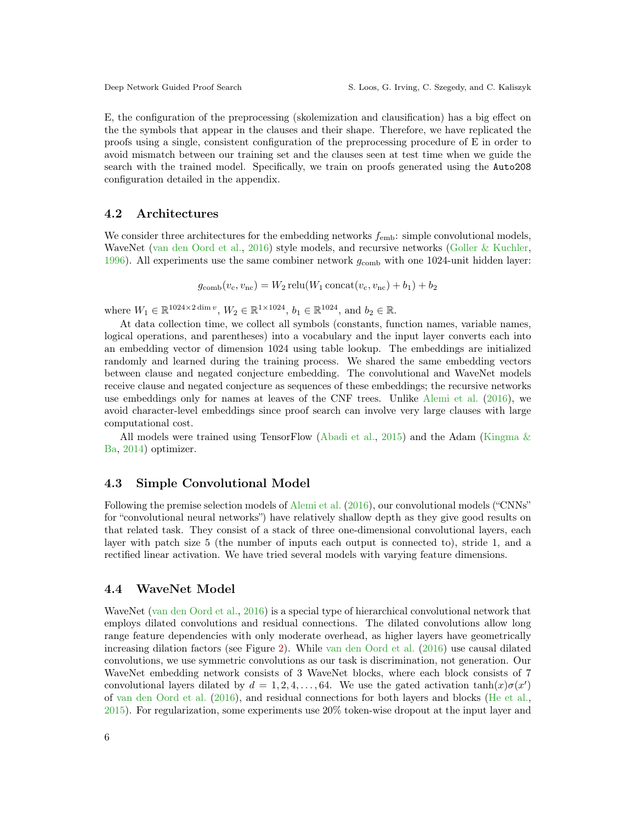E, the configuration of the preprocessing (skolemization and clausification) has a big effect on the the symbols that appear in the clauses and their shape. Therefore, we have replicated the proofs using a single, consistent configuration of the preprocessing procedure of E in order to avoid mismatch between our training set and the clauses seen at test time when we guide the search with the trained model. Specifically, we train on proofs generated using the Auto208 configuration detailed in the appendix.

#### 4.2 Architectures

We consider three architectures for the embedding networks  $f_{\rm emb}$ : simple convolutional models, WaveNet [\(van den Oord et al.,](#page-16-6) [2016\)](#page-16-6) style models, and recursive networks [\(Goller & Kuchler,](#page-15-10) [1996\)](#page-15-10). All experiments use the same combiner network  $g_{\text{comb}}$  with one 1024-unit hidden layer:

 $g_{\text{comb}}(v_{\text{c}}, v_{\text{nc}}) = W_2 \operatorname{relu}(W_1 \operatorname{concat}(v_{\text{c}}, v_{\text{nc}}) + b_1) + b_2$ 

where  $W_1 \in \mathbb{R}^{1024 \times 2 \dim v}$ ,  $W_2 \in \mathbb{R}^{1 \times 1024}$ ,  $b_1 \in \mathbb{R}^{1024}$ , and  $b_2 \in \mathbb{R}$ .

At data collection time, we collect all symbols (constants, function names, variable names, logical operations, and parentheses) into a vocabulary and the input layer converts each into an embedding vector of dimension 1024 using table lookup. The embeddings are initialized randomly and learned during the training process. We shared the same embedding vectors between clause and negated conjecture embedding. The convolutional and WaveNet models receive clause and negated conjecture as sequences of these embeddings; the recursive networks use embeddings only for names at leaves of the CNF trees. Unlike [Alemi et al.](#page-14-3) [\(2016\)](#page-14-3), we avoid character-level embeddings since proof search can involve very large clauses with large computational cost.

All models were trained using TensorFlow [\(Abadi et al.,](#page-14-5) [2015\)](#page-14-5) and the Adam [\(Kingma &](#page-16-12) [Ba,](#page-16-12) [2014\)](#page-16-12) optimizer.

#### <span id="page-5-0"></span>4.3 Simple Convolutional Model

Following the premise selection models of [Alemi et al.](#page-14-3) [\(2016\)](#page-14-3), our convolutional models ("CNNs" for "convolutional neural networks") have relatively shallow depth as they give good results on that related task. They consist of a stack of three one-dimensional convolutional layers, each layer with patch size 5 (the number of inputs each output is connected to), stride 1, and a rectified linear activation. We have tried several models with varying feature dimensions.

#### <span id="page-5-1"></span>4.4 WaveNet Model

WaveNet [\(van den Oord et al.,](#page-16-6) [2016\)](#page-16-6) is a special type of hierarchical convolutional network that employs dilated convolutions and residual connections. The dilated convolutions allow long range feature dependencies with only moderate overhead, as higher layers have geometrically increasing dilation factors (see Figure [2\)](#page-6-1). While [van den Oord et al.](#page-16-6) [\(2016\)](#page-16-6) use causal dilated convolutions, we use symmetric convolutions as our task is discrimination, not generation. Our WaveNet embedding network consists of 3 WaveNet blocks, where each block consists of 7 convolutional layers dilated by  $d = 1, 2, 4, \ldots, 64$ . We use the gated activation  $\tanh(x)\sigma(x')$ of [van den Oord et al.](#page-16-6) [\(2016\)](#page-16-6), and residual connections for both layers and blocks [\(He et al.,](#page-15-4) [2015\)](#page-15-4). For regularization, some experiments use 20% token-wise dropout at the input layer and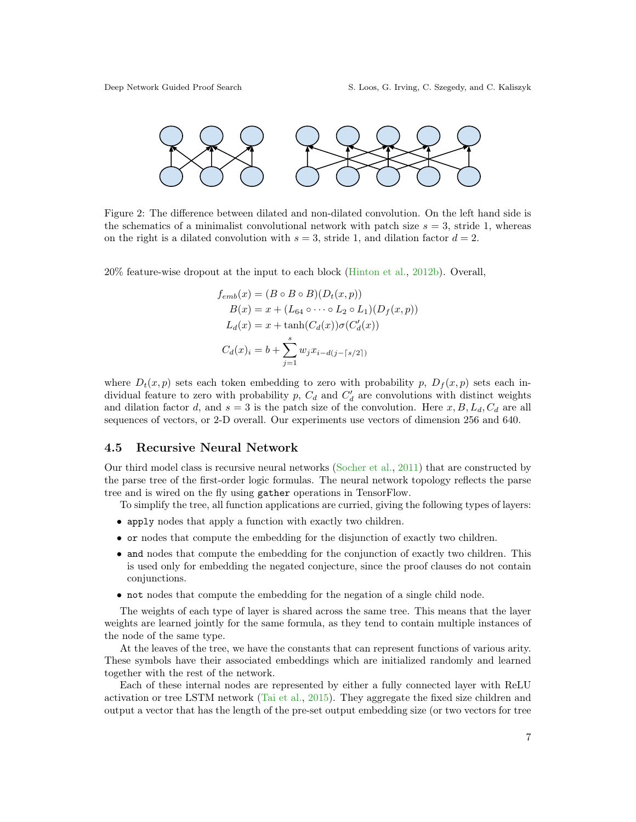<span id="page-6-1"></span>

Figure 2: The difference between dilated and non-dilated convolution. On the left hand side is the schematics of a minimalist convolutional network with patch size  $s = 3$ , stride 1, whereas on the right is a dilated convolution with  $s = 3$ , stride 1, and dilation factor  $d = 2$ .

20% feature-wise dropout at the input to each block [\(Hinton et al.,](#page-15-11) [2012b\)](#page-15-11). Overall,

$$
f_{emb}(x) = (B \circ B \circ B)(D_t(x, p))
$$
  
\n
$$
B(x) = x + (L_{64} \circ \cdots \circ L_2 \circ L_1)(D_f(x, p))
$$
  
\n
$$
L_d(x) = x + \tanh(C_d(x))\sigma(C'_d(x))
$$
  
\n
$$
C_d(x)_i = b + \sum_{j=1}^s w_j x_{i-d(j-[s/2])}
$$

where  $D_t(x, p)$  sets each token embedding to zero with probability p,  $D_f(x, p)$  sets each individual feature to zero with probability  $p$ ,  $C_d$  and  $C'_d$  are convolutions with distinct weights and dilation factor d, and  $s = 3$  is the patch size of the convolution. Here  $x, B, L_d, C_d$  are all sequences of vectors, or 2-D overall. Our experiments use vectors of dimension 256 and 640.

#### <span id="page-6-0"></span>4.5 Recursive Neural Network

Our third model class is recursive neural networks [\(Socher et al.,](#page-17-9) [2011\)](#page-17-9) that are constructed by the parse tree of the first-order logic formulas. The neural network topology reflects the parse tree and is wired on the fly using gather operations in TensorFlow.

To simplify the tree, all function applications are curried, giving the following types of layers:

- apply nodes that apply a function with exactly two children.
- or nodes that compute the embedding for the disjunction of exactly two children.
- and nodes that compute the embedding for the conjunction of exactly two children. This is used only for embedding the negated conjecture, since the proof clauses do not contain conjunctions.
- not nodes that compute the embedding for the negation of a single child node.

The weights of each type of layer is shared across the same tree. This means that the layer weights are learned jointly for the same formula, as they tend to contain multiple instances of the node of the same type.

At the leaves of the tree, we have the constants that can represent functions of various arity. These symbols have their associated embeddings which are initialized randomly and learned together with the rest of the network.

Each of these internal nodes are represented by either a fully connected layer with ReLU activation or tree LSTM network [\(Tai et al.,](#page-17-10) [2015\)](#page-17-10). They aggregate the fixed size children and output a vector that has the length of the pre-set output embedding size (or two vectors for tree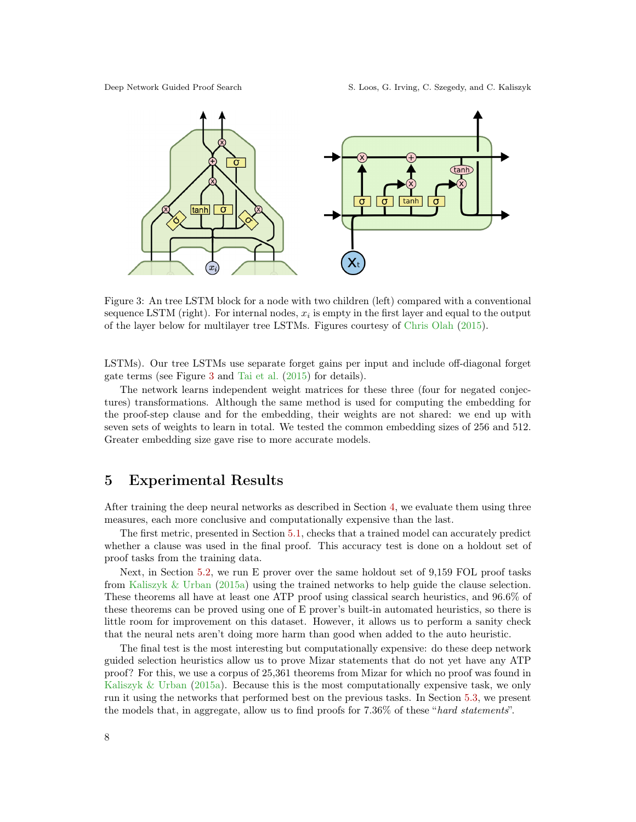Deep Network Guided Proof Search S. Loos, G. Irving, C. Szegedy, and C. Kaliszyk

<span id="page-7-0"></span>

Figure 3: An tree LSTM block for a node with two children (left) compared with a conventional sequence LSTM (right). For internal nodes,  $x_i$  is empty in the first layer and equal to the output of the layer below for multilayer tree LSTMs. Figures courtesy of [Chris Olah](#page-15-12) [\(2015\)](#page-15-12).

LSTMs). Our tree LSTMs use separate forget gains per input and include off-diagonal forget gate terms (see Figure [3](#page-7-0) and [Tai et al.](#page-17-10) [\(2015\)](#page-17-10) for details).

The network learns independent weight matrices for these three (four for negated conjectures) transformations. Although the same method is used for computing the embedding for the proof-step clause and for the embedding, their weights are not shared: we end up with seven sets of weights to learn in total. We tested the common embedding sizes of 256 and 512. Greater embedding size gave rise to more accurate models.

## 5 Experimental Results

After training the deep neural networks as described in Section [4,](#page-3-1) we evaluate them using three measures, each more conclusive and computationally expensive than the last.

The first metric, presented in Section [5.1,](#page-8-0) checks that a trained model can accurately predict whether a clause was used in the final proof. This accuracy test is done on a holdout set of proof tasks from the training data.

Next, in Section [5.2,](#page-8-1) we run E prover over the same holdout set of 9,159 FOL proof tasks from [Kaliszyk & Urban](#page-15-9) [\(2015a\)](#page-15-9) using the trained networks to help guide the clause selection. These theorems all have at least one ATP proof using classical search heuristics, and 96.6% of these theorems can be proved using one of E prover's built-in automated heuristics, so there is little room for improvement on this dataset. However, it allows us to perform a sanity check that the neural nets aren't doing more harm than good when added to the auto heuristic.

The final test is the most interesting but computationally expensive: do these deep network guided selection heuristics allow us to prove Mizar statements that do not yet have any ATP proof? For this, we use a corpus of 25,361 theorems from Mizar for which no proof was found in [Kaliszyk & Urban](#page-15-9) [\(2015a\)](#page-15-9). Because this is the most computationally expensive task, we only run it using the networks that performed best on the previous tasks. In Section [5.3,](#page-11-0) we present the models that, in aggregate, allow us to find proofs for 7.36% of these "hard statements".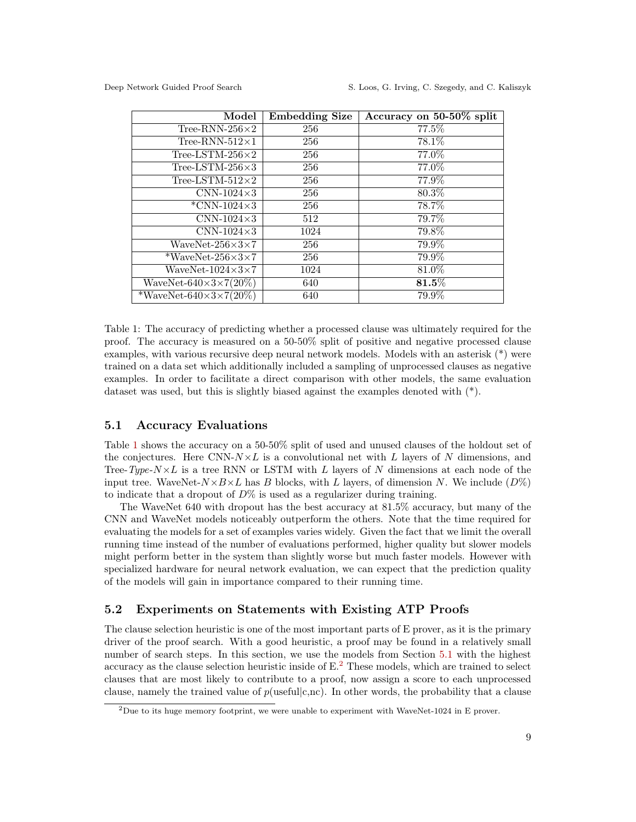<span id="page-8-2"></span>

| Model                              | Embedding Size | Accuracy on $50-50\%$ split |
|------------------------------------|----------------|-----------------------------|
| Tree-RNN-256 $\times$ 2            | 256            | 77.5%                       |
| Tree-RNN- $512\times1$             | 256            | 78.1\%                      |
| Tree-LSTM-256 $\times$ 2           | 256            | 77.0%                       |
| Tree-LSTM-256 $\times$ 3           | 256            | 77.0%                       |
| Tree-LSTM- $512\times2$            | 256            | 77.9%                       |
| $CNN-1024\times3$                  | 256            | 80.3%                       |
| $*CNN-1024\times3$                 | 256            | 78.7%                       |
| $CNN-1024\times3$                  | 512            | 79.7%                       |
| CNN-1024 $\times$ 3                | 1024           | 79.8%                       |
| WaveNet- $256\times3\times7$       | 256            | 79.9%                       |
| *WaveNet-256 $\times$ 3 $\times$ 7 | 256            | 79.9%                       |
| WaveNet- $1024\times3\times7$      | 1024           | 81.0%                       |
| WaveNet- $640\times3\times7(20\%)$ | 640            | $\mathbf{81.5}\%$           |
| *WaveNet-640×3×7(20%)              | 640            | 79.9%                       |

Table 1: The accuracy of predicting whether a processed clause was ultimately required for the proof. The accuracy is measured on a 50-50% split of positive and negative processed clause examples, with various recursive deep neural network models. Models with an asterisk (\*) were trained on a data set which additionally included a sampling of unprocessed clauses as negative examples. In order to facilitate a direct comparison with other models, the same evaluation dataset was used, but this is slightly biased against the examples denoted with  $(*)$ .

#### <span id="page-8-0"></span>5.1 Accuracy Evaluations

Table [1](#page-8-2) shows the accuracy on a 50-50% split of used and unused clauses of the holdout set of the conjectures. Here CNN- $N \times L$  is a convolutional net with L layers of N dimensions, and Tree-Type- $N\times L$  is a tree RNN or LSTM with L layers of N dimensions at each node of the input tree. WaveNet- $N \times B \times L$  has B blocks, with L layers, of dimension N. We include  $(D\%)$ to indicate that a dropout of  $D\%$  is used as a regularizer during training.

The WaveNet 640 with dropout has the best accuracy at 81.5% accuracy, but many of the CNN and WaveNet models noticeably outperform the others. Note that the time required for evaluating the models for a set of examples varies widely. Given the fact that we limit the overall running time instead of the number of evaluations performed, higher quality but slower models might perform better in the system than slightly worse but much faster models. However with specialized hardware for neural network evaluation, we can expect that the prediction quality of the models will gain in importance compared to their running time.

#### <span id="page-8-1"></span>5.2 Experiments on Statements with Existing ATP Proofs

The clause selection heuristic is one of the most important parts of E prover, as it is the primary driver of the proof search. With a good heuristic, a proof may be found in a relatively small number of search steps. In this section, we use the models from Section [5.1](#page-8-0) with the highest accuracy as the clause selection heuristic inside of  $E<sup>2</sup>$  $E<sup>2</sup>$  $E<sup>2</sup>$ . These models, which are trained to select clauses that are most likely to contribute to a proof, now assign a score to each unprocessed clause, namely the trained value of  $p$ (useful|c,nc). In other words, the probability that a clause

<span id="page-8-3"></span> $^{2}$ Due to its huge memory footprint, we were unable to experiment with WaveNet-1024 in E prover.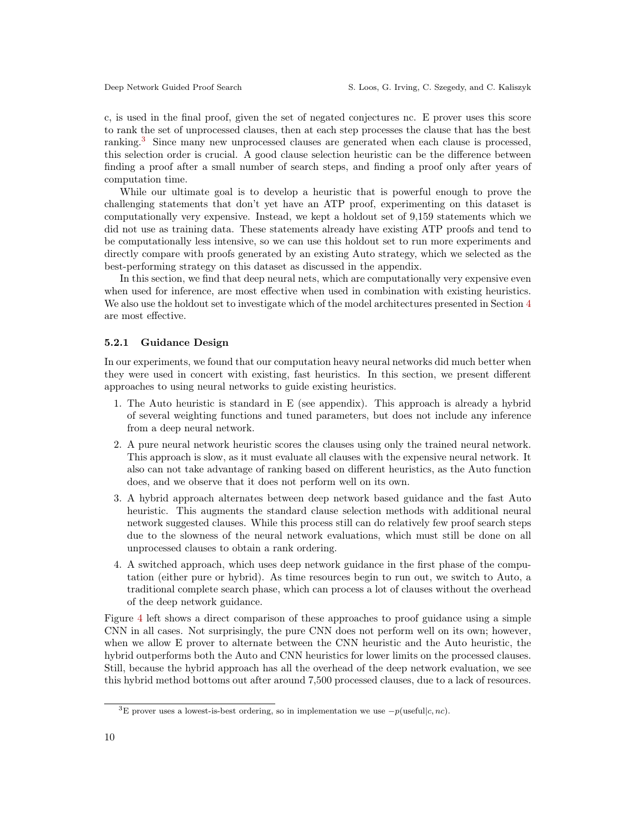c, is used in the final proof, given the set of negated conjectures nc. E prover uses this score to rank the set of unprocessed clauses, then at each step processes the clause that has the best ranking.[3](#page-9-0) Since many new unprocessed clauses are generated when each clause is processed, this selection order is crucial. A good clause selection heuristic can be the difference between finding a proof after a small number of search steps, and finding a proof only after years of computation time.

While our ultimate goal is to develop a heuristic that is powerful enough to prove the challenging statements that don't yet have an ATP proof, experimenting on this dataset is computationally very expensive. Instead, we kept a holdout set of 9,159 statements which we did not use as training data. These statements already have existing ATP proofs and tend to be computationally less intensive, so we can use this holdout set to run more experiments and directly compare with proofs generated by an existing Auto strategy, which we selected as the best-performing strategy on this dataset as discussed in the appendix.

In this section, we find that deep neural nets, which are computationally very expensive even when used for inference, are most effective when used in combination with existing heuristics. We also use the holdout set to investigate which of the model architectures presented in Section [4](#page-3-1) are most effective.

#### <span id="page-9-1"></span>5.2.1 Guidance Design

In our experiments, we found that our computation heavy neural networks did much better when they were used in concert with existing, fast heuristics. In this section, we present different approaches to using neural networks to guide existing heuristics.

- 1. The Auto heuristic is standard in E (see appendix). This approach is already a hybrid of several weighting functions and tuned parameters, but does not include any inference from a deep neural network.
- 2. A pure neural network heuristic scores the clauses using only the trained neural network. This approach is slow, as it must evaluate all clauses with the expensive neural network. It also can not take advantage of ranking based on different heuristics, as the Auto function does, and we observe that it does not perform well on its own.
- 3. A hybrid approach alternates between deep network based guidance and the fast Auto heuristic. This augments the standard clause selection methods with additional neural network suggested clauses. While this process still can do relatively few proof search steps due to the slowness of the neural network evaluations, which must still be done on all unprocessed clauses to obtain a rank ordering.
- 4. A switched approach, which uses deep network guidance in the first phase of the computation (either pure or hybrid). As time resources begin to run out, we switch to Auto, a traditional complete search phase, which can process a lot of clauses without the overhead of the deep network guidance.

Figure [4](#page-10-0) left shows a direct comparison of these approaches to proof guidance using a simple CNN in all cases. Not surprisingly, the pure CNN does not perform well on its own; however, when we allow E prover to alternate between the CNN heuristic and the Auto heuristic, the hybrid outperforms both the Auto and CNN heuristics for lower limits on the processed clauses. Still, because the hybrid approach has all the overhead of the deep network evaluation, we see this hybrid method bottoms out after around 7,500 processed clauses, due to a lack of resources.

<span id="page-9-0"></span><sup>&</sup>lt;sup>3</sup>E prover uses a lowest-is-best ordering, so in implementation we use  $-p$ (useful|c, nc).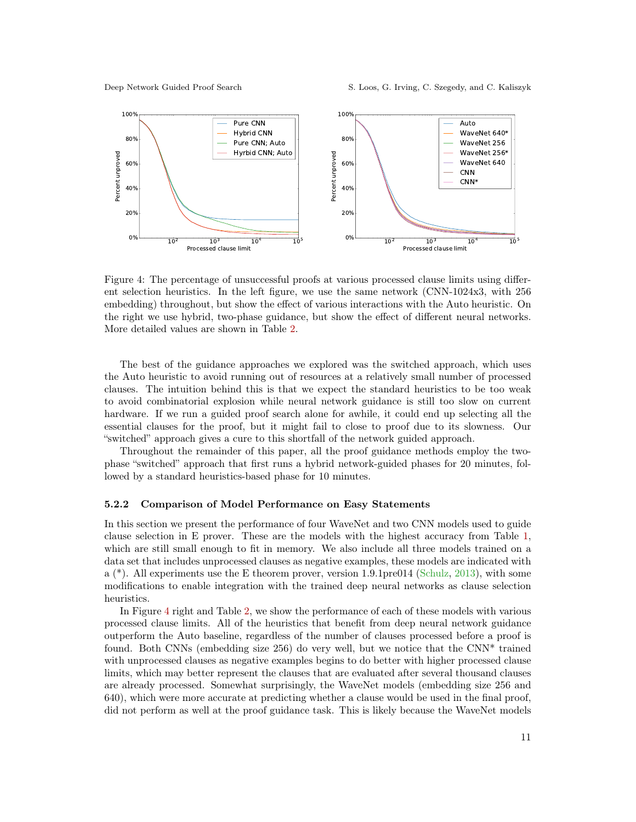Deep Network Guided Proof Search S. Loos, G. Irving, C. Szegedy, and C. Kaliszyk

<span id="page-10-0"></span>

Figure 4: The percentage of unsuccessful proofs at various processed clause limits using different selection heuristics. In the left figure, we use the same network (CNN-1024x3, with 256 embedding) throughout, but show the effect of various interactions with the Auto heuristic. On the right we use hybrid, two-phase guidance, but show the effect of different neural networks. More detailed values are shown in Table [2.](#page-11-1)

The best of the guidance approaches we explored was the switched approach, which uses the Auto heuristic to avoid running out of resources at a relatively small number of processed clauses. The intuition behind this is that we expect the standard heuristics to be too weak to avoid combinatorial explosion while neural network guidance is still too slow on current hardware. If we run a guided proof search alone for awhile, it could end up selecting all the essential clauses for the proof, but it might fail to close to proof due to its slowness. Our "switched" approach gives a cure to this shortfall of the network guided approach.

Throughout the remainder of this paper, all the proof guidance methods employ the twophase "switched" approach that first runs a hybrid network-guided phases for 20 minutes, followed by a standard heuristics-based phase for 10 minutes.

#### 5.2.2 Comparison of Model Performance on Easy Statements

In this section we present the performance of four WaveNet and two CNN models used to guide clause selection in E prover. These are the models with the highest accuracy from Table [1,](#page-8-2) which are still small enough to fit in memory. We also include all three models trained on a data set that includes unprocessed clauses as negative examples, these models are indicated with a (\*). All experiments use the E theorem prover, version 1.9.1pre014 [\(Schulz,](#page-17-4) [2013\)](#page-17-4), with some modifications to enable integration with the trained deep neural networks as clause selection heuristics.

In Figure [4](#page-10-0) right and Table [2,](#page-11-1) we show the performance of each of these models with various processed clause limits. All of the heuristics that benefit from deep neural network guidance outperform the Auto baseline, regardless of the number of clauses processed before a proof is found. Both CNNs (embedding size 256) do very well, but we notice that the CNN\* trained with unprocessed clauses as negative examples begins to do better with higher processed clause limits, which may better represent the clauses that are evaluated after several thousand clauses are already processed. Somewhat surprisingly, the WaveNet models (embedding size 256 and 640), which were more accurate at predicting whether a clause would be used in the final proof, did not perform as well at the proof guidance task. This is likely because the WaveNet models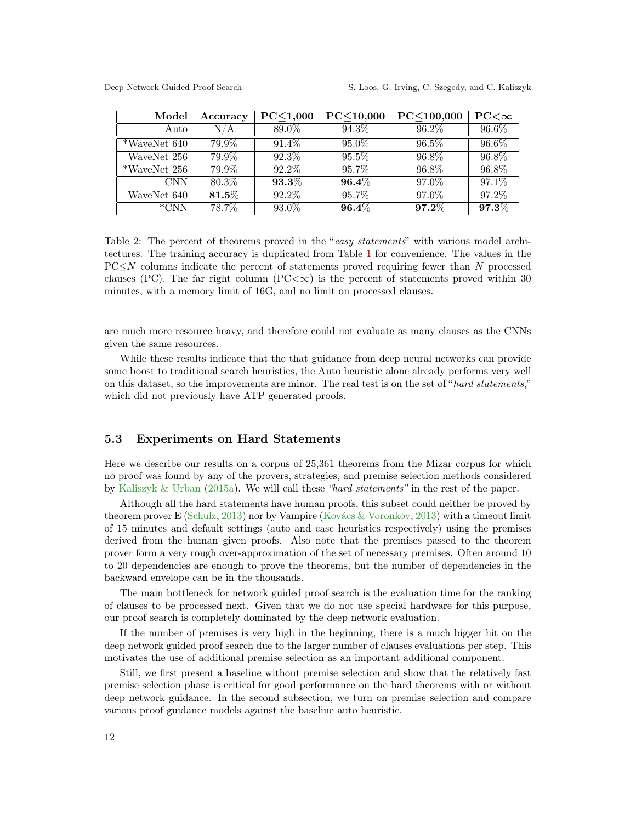<span id="page-11-1"></span>

| Model        | Accuracy          | PC < 1,000 | PC < 10,000 | PC<100,000 | $PC<\infty$ |
|--------------|-------------------|------------|-------------|------------|-------------|
| Auto         | N/A               | 89.0%      | 94.3%       | 96.2%      | 96.6%       |
| *WaveNet 640 | 79.9%             | $91.4\%$   | 95.0%       | 96.5%      | 96.6%       |
| WaveNet 256  | 79.9%             | 92.3%      | $95.5\%$    | 96.8%      | 96.8%       |
| *WaveNet 256 | 79.9%             | 92.2%      | 95.7%       | 96.8%      | 96.8%       |
| CNN.         | 80.3%             | $93.3\%$   | $96.4\%$    | 97.0%      | 97.1%       |
| WaveNet 640  | $\mathbf{81.5}\%$ | 92.2\%     | 95.7%       | 97.0%      | 97.2%       |
| $*$ CNN      | 78.7%             | 93.0%      | $96.4\%$    | $97.2\%$   | $97.3\%$    |

Table 2: The percent of theorems proved in the "easy statements" with various model architectures. The training accuracy is duplicated from Table [1](#page-8-2) for convenience. The values in the  $PC\leq N$  columns indicate the percent of statements proved requiring fewer than N processed clauses (PC). The far right column (PC $\langle \infty \rangle$ ) is the percent of statements proved within 30 minutes, with a memory limit of 16G, and no limit on processed clauses.

are much more resource heavy, and therefore could not evaluate as many clauses as the CNNs given the same resources.

While these results indicate that the that guidance from deep neural networks can provide some boost to traditional search heuristics, the Auto heuristic alone already performs very well on this dataset, so the improvements are minor. The real test is on the set of "hard statements," which did not previously have ATP generated proofs.

#### <span id="page-11-0"></span>5.3 Experiments on Hard Statements

Here we describe our results on a corpus of 25,361 theorems from the Mizar corpus for which no proof was found by any of the provers, strategies, and premise selection methods considered by [Kaliszyk & Urban](#page-15-9) [\(2015a\)](#page-15-9). We will call these "hard statements" in the rest of the paper.

Although all the hard statements have human proofs, this subset could neither be proved by theorem prover E [\(Schulz,](#page-17-4) [2013\)](#page-17-4) nor by Vampire [\(Kovács & Voronkov,](#page-16-0) [2013\)](#page-16-0) with a timeout limit of 15 minutes and default settings (auto and casc heuristics respectively) using the premises derived from the human given proofs. Also note that the premises passed to the theorem prover form a very rough over-approximation of the set of necessary premises. Often around 10 to 20 dependencies are enough to prove the theorems, but the number of dependencies in the backward envelope can be in the thousands.

The main bottleneck for network guided proof search is the evaluation time for the ranking of clauses to be processed next. Given that we do not use special hardware for this purpose, our proof search is completely dominated by the deep network evaluation.

If the number of premises is very high in the beginning, there is a much bigger hit on the deep network guided proof search due to the larger number of clauses evaluations per step. This motivates the use of additional premise selection as an important additional component.

Still, we first present a baseline without premise selection and show that the relatively fast premise selection phase is critical for good performance on the hard theorems with or without deep network guidance. In the second subsection, we turn on premise selection and compare various proof guidance models against the baseline auto heuristic.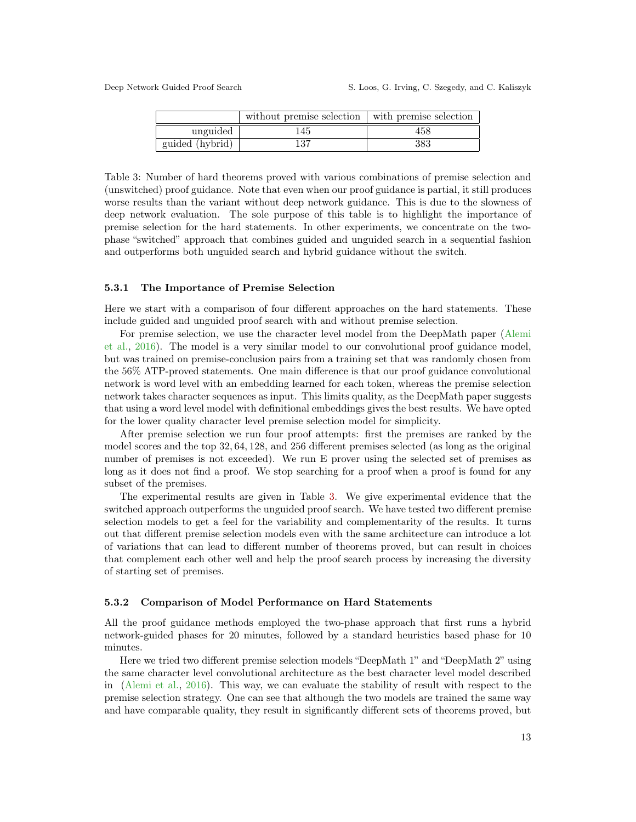<span id="page-12-0"></span>

|                 | without premise selection | with premise selection |
|-----------------|---------------------------|------------------------|
| unguided        | 145                       | 458                    |
| guided (hybrid) | 137                       | 383                    |

Table 3: Number of hard theorems proved with various combinations of premise selection and (unswitched) proof guidance. Note that even when our proof guidance is partial, it still produces worse results than the variant without deep network guidance. This is due to the slowness of deep network evaluation. The sole purpose of this table is to highlight the importance of premise selection for the hard statements. In other experiments, we concentrate on the twophase "switched" approach that combines guided and unguided search in a sequential fashion and outperforms both unguided search and hybrid guidance without the switch.

#### 5.3.1 The Importance of Premise Selection

Here we start with a comparison of four different approaches on the hard statements. These include guided and unguided proof search with and without premise selection.

For premise selection, we use the character level model from the DeepMath paper [\(Alemi](#page-14-3) [et al.,](#page-14-3) [2016\)](#page-14-3). The model is a very similar model to our convolutional proof guidance model, but was trained on premise-conclusion pairs from a training set that was randomly chosen from the 56% ATP-proved statements. One main difference is that our proof guidance convolutional network is word level with an embedding learned for each token, whereas the premise selection network takes character sequences as input. This limits quality, as the DeepMath paper suggests that using a word level model with definitional embeddings gives the best results. We have opted for the lower quality character level premise selection model for simplicity.

After premise selection we run four proof attempts: first the premises are ranked by the model scores and the top 32, 64, 128, and 256 different premises selected (as long as the original number of premises is not exceeded). We run E prover using the selected set of premises as long as it does not find a proof. We stop searching for a proof when a proof is found for any subset of the premises.

The experimental results are given in Table [3.](#page-12-0) We give experimental evidence that the switched approach outperforms the unguided proof search. We have tested two different premise selection models to get a feel for the variability and complementarity of the results. It turns out that different premise selection models even with the same architecture can introduce a lot of variations that can lead to different number of theorems proved, but can result in choices that complement each other well and help the proof search process by increasing the diversity of starting set of premises.

#### 5.3.2 Comparison of Model Performance on Hard Statements

All the proof guidance methods employed the two-phase approach that first runs a hybrid network-guided phases for 20 minutes, followed by a standard heuristics based phase for 10 minutes.

Here we tried two different premise selection models "DeepMath 1" and "DeepMath 2" using the same character level convolutional architecture as the best character level model described in [\(Alemi et al.,](#page-14-3) [2016\)](#page-14-3). This way, we can evaluate the stability of result with respect to the premise selection strategy. One can see that although the two models are trained the same way and have comparable quality, they result in significantly different sets of theorems proved, but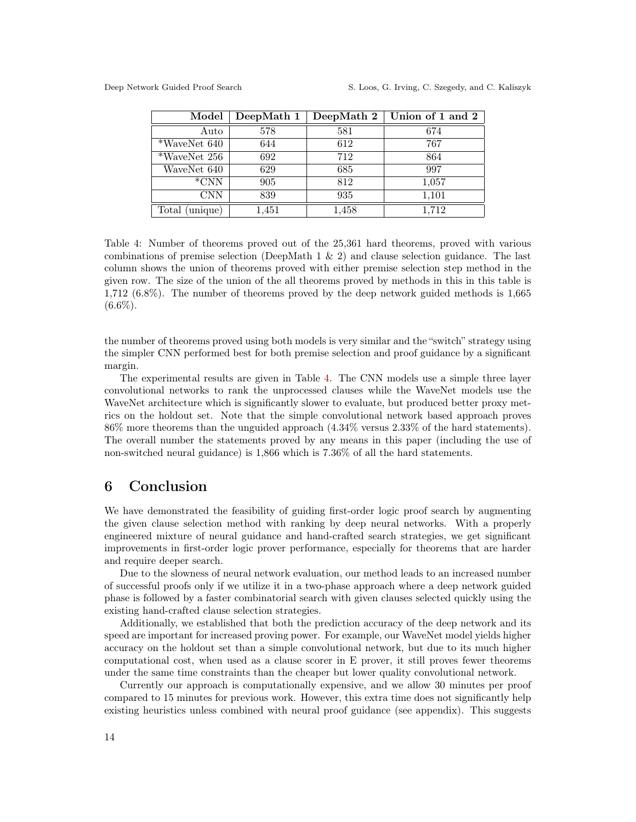<span id="page-13-0"></span>

| Model            | DeepMath 1 | DeepMath 2 | Union of 1 and 2 |
|------------------|------------|------------|------------------|
| Auto             | 578        | 581        | 674              |
| *WaveNet 640     | 644        | 612        | 767              |
| $*$ WaveNet 256  | 692        | 712        | 864              |
| WaveNet 640      | 629        | 685        | 997              |
| $*CNN$           | 905        | 812        | 1,057            |
| CNN              | 839        | 935        | 1,101            |
| unique)<br>Total | 1,451      | 1,458      | 1,712            |

Table 4: Number of theorems proved out of the 25,361 hard theorems, proved with various combinations of premise selection (DeepMath 1 & 2) and clause selection guidance. The last column shows the union of theorems proved with either premise selection step method in the given row. The size of the union of the all theorems proved by methods in this in this table is 1,712 (6.8%). The number of theorems proved by the deep network guided methods is 1,665  $(6.6\%).$ 

the number of theorems proved using both models is very similar and the "switch" strategy using the simpler CNN performed best for both premise selection and proof guidance by a significant margin.

The experimental results are given in Table [4.](#page-13-0) The CNN models use a simple three layer convolutional networks to rank the unprocessed clauses while the WaveNet models use the WaveNet architecture which is significantly slower to evaluate, but produced better proxy metrics on the holdout set. Note that the simple convolutional network based approach proves 86% more theorems than the unguided approach (4.34% versus 2.33% of the hard statements). The overall number the statements proved by any means in this paper (including the use of non-switched neural guidance) is 1,866 which is 7.36% of all the hard statements.

## 6 Conclusion

We have demonstrated the feasibility of guiding first-order logic proof search by augmenting the given clause selection method with ranking by deep neural networks. With a properly engineered mixture of neural guidance and hand-crafted search strategies, we get significant improvements in first-order logic prover performance, especially for theorems that are harder and require deeper search.

Due to the slowness of neural network evaluation, our method leads to an increased number of successful proofs only if we utilize it in a two-phase approach where a deep network guided phase is followed by a faster combinatorial search with given clauses selected quickly using the existing hand-crafted clause selection strategies.

Additionally, we established that both the prediction accuracy of the deep network and its speed are important for increased proving power. For example, our WaveNet model yields higher accuracy on the holdout set than a simple convolutional network, but due to its much higher computational cost, when used as a clause scorer in E prover, it still proves fewer theorems under the same time constraints than the cheaper but lower quality convolutional network.

Currently our approach is computationally expensive, and we allow 30 minutes per proof compared to 15 minutes for previous work. However, this extra time does not significantly help existing heuristics unless combined with neural proof guidance (see appendix). This suggests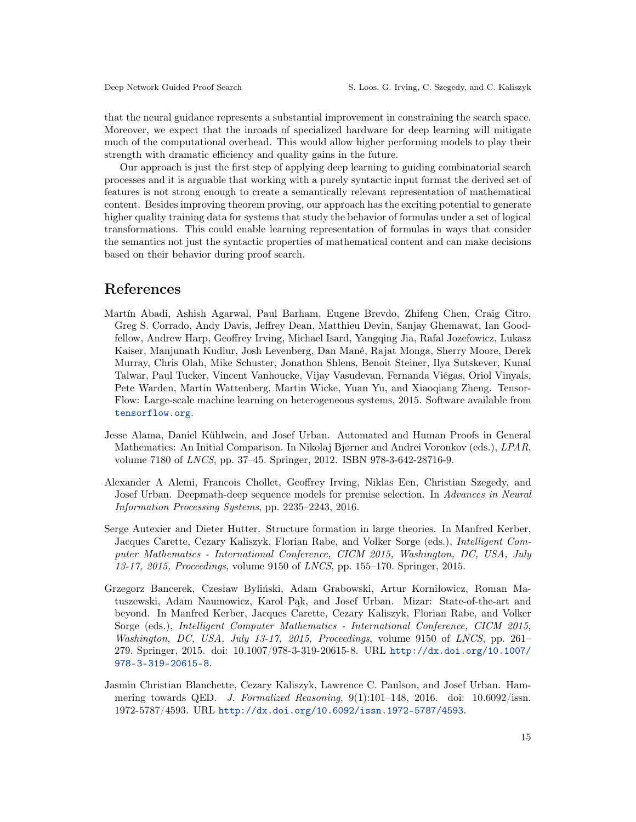that the neural guidance represents a substantial improvement in constraining the search space. Moreover, we expect that the inroads of specialized hardware for deep learning will mitigate much of the computational overhead. This would allow higher performing models to play their strength with dramatic efficiency and quality gains in the future.

Our approach is just the first step of applying deep learning to guiding combinatorial search processes and it is arguable that working with a purely syntactic input format the derived set of features is not strong enough to create a semantically relevant representation of mathematical content. Besides improving theorem proving, our approach has the exciting potential to generate higher quality training data for systems that study the behavior of formulas under a set of logical transformations. This could enable learning representation of formulas in ways that consider the semantics not just the syntactic properties of mathematical content and can make decisions based on their behavior during proof search.

## References

- <span id="page-14-5"></span>Martín Abadi, Ashish Agarwal, Paul Barham, Eugene Brevdo, Zhifeng Chen, Craig Citro, Greg S. Corrado, Andy Davis, Jeffrey Dean, Matthieu Devin, Sanjay Ghemawat, Ian Goodfellow, Andrew Harp, Geoffrey Irving, Michael Isard, Yangqing Jia, Rafal Jozefowicz, Lukasz Kaiser, Manjunath Kudlur, Josh Levenberg, Dan Mané, Rajat Monga, Sherry Moore, Derek Murray, Chris Olah, Mike Schuster, Jonathon Shlens, Benoit Steiner, Ilya Sutskever, Kunal Talwar, Paul Tucker, Vincent Vanhoucke, Vijay Vasudevan, Fernanda Viégas, Oriol Vinyals, Pete Warden, Martin Wattenberg, Martin Wicke, Yuan Yu, and Xiaoqiang Zheng. Tensor-Flow: Large-scale machine learning on heterogeneous systems, 2015. Software available from <tensorflow.org>.
- <span id="page-14-2"></span>Jesse Alama, Daniel Kühlwein, and Josef Urban. Automated and Human Proofs in General Mathematics: An Initial Comparison. In Nikolaj Bjørner and Andrei Voronkov (eds.), LPAR, volume 7180 of LNCS, pp. 37–45. Springer, 2012. ISBN 978-3-642-28716-9.
- <span id="page-14-3"></span>Alexander A Alemi, Francois Chollet, Geoffrey Irving, Niklas Een, Christian Szegedy, and Josef Urban. Deepmath-deep sequence models for premise selection. In Advances in Neural Information Processing Systems, pp. 2235–2243, 2016.
- <span id="page-14-0"></span>Serge Autexier and Dieter Hutter. Structure formation in large theories. In Manfred Kerber, Jacques Carette, Cezary Kaliszyk, Florian Rabe, and Volker Sorge (eds.), Intelligent Computer Mathematics - International Conference, CICM 2015, Washington, DC, USA, July 13-17, 2015, Proceedings, volume 9150 of LNCS, pp. 155–170. Springer, 2015.
- <span id="page-14-4"></span>Grzegorz Bancerek, Czesław Byliński, Adam Grabowski, Artur Korniłowicz, Roman Matuszewski, Adam Naumowicz, Karol Pąk, and Josef Urban. Mizar: State-of-the-art and beyond. In Manfred Kerber, Jacques Carette, Cezary Kaliszyk, Florian Rabe, and Volker Sorge (eds.), Intelligent Computer Mathematics - International Conference, CICM 2015, Washington, DC, USA, July 13-17, 2015, Proceedings, volume 9150 of LNCS, pp. 261– 279. Springer, 2015. doi: 10.1007/978-3-319-20615-8. URL [http://dx.doi.org/10.1007/](http://dx.doi.org/10.1007/978-3-319-20615-8) [978-3-319-20615-8](http://dx.doi.org/10.1007/978-3-319-20615-8).
- <span id="page-14-1"></span>Jasmin Christian Blanchette, Cezary Kaliszyk, Lawrence C. Paulson, and Josef Urban. Hammering towards QED. J. Formalized Reasoning,  $9(1):101-148$ , 2016. doi: 10.6092/issn. 1972-5787/4593. URL <http://dx.doi.org/10.6092/issn.1972-5787/4593>.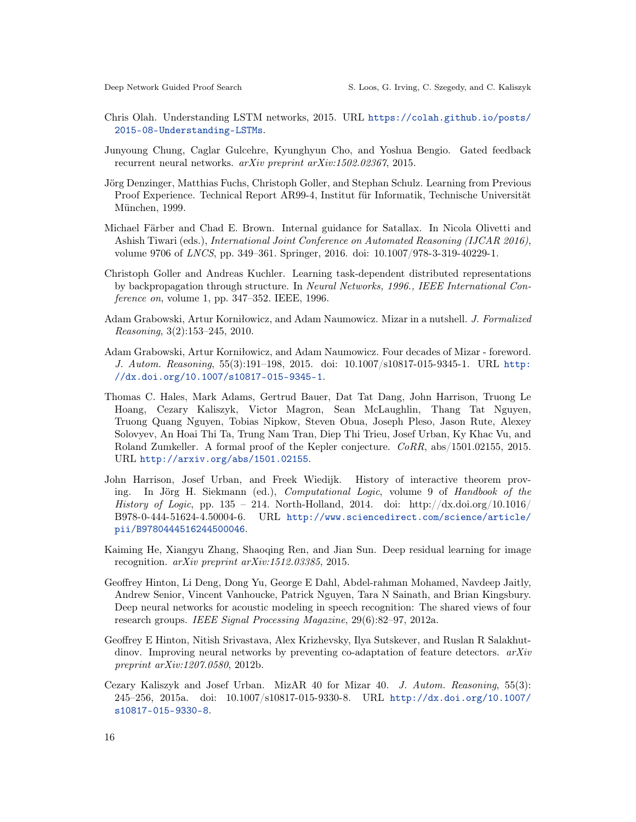- <span id="page-15-12"></span>Chris Olah. Understanding LSTM networks, 2015. URL [https://colah.github.io/posts/](https://colah.github.io/posts/2015-08-Understanding-LSTMs) [2015-08-Understanding-LSTMs](https://colah.github.io/posts/2015-08-Understanding-LSTMs).
- <span id="page-15-8"></span>Junyoung Chung, Caglar Gulcehre, Kyunghyun Cho, and Yoshua Bengio. Gated feedback recurrent neural networks. arXiv preprint arXiv:1502.02367, 2015.
- <span id="page-15-6"></span>Jörg Denzinger, Matthias Fuchs, Christoph Goller, and Stephan Schulz. Learning from Previous Proof Experience. Technical Report AR99-4, Institut für Informatik, Technische Universität München, 1999.
- <span id="page-15-7"></span>Michael Färber and Chad E. Brown. Internal guidance for Satallax. In Nicola Olivetti and Ashish Tiwari (eds.), International Joint Conference on Automated Reasoning (IJCAR 2016), volume 9706 of LNCS, pp. 349–361. Springer, 2016. doi: 10.1007/978-3-319-40229-1.
- <span id="page-15-10"></span>Christoph Goller and Andreas Kuchler. Learning task-dependent distributed representations by backpropagation through structure. In Neural Networks, 1996., IEEE International Conference on, volume 1, pp. 347–352. IEEE, 1996.
- <span id="page-15-5"></span>Adam Grabowski, Artur Korniłowicz, and Adam Naumowicz. Mizar in a nutshell. J. Formalized Reasoning, 3(2):153–245, 2010.
- <span id="page-15-2"></span>Adam Grabowski, Artur Korniłowicz, and Adam Naumowicz. Four decades of Mizar - foreword. J. Autom. Reasoning, 55(3):191–198, 2015. doi: 10.1007/s10817-015-9345-1. URL [http:](http://dx.doi.org/10.1007/s10817-015-9345-1) [//dx.doi.org/10.1007/s10817-015-9345-1](http://dx.doi.org/10.1007/s10817-015-9345-1).
- <span id="page-15-1"></span>Thomas C. Hales, Mark Adams, Gertrud Bauer, Dat Tat Dang, John Harrison, Truong Le Hoang, Cezary Kaliszyk, Victor Magron, Sean McLaughlin, Thang Tat Nguyen, Truong Quang Nguyen, Tobias Nipkow, Steven Obua, Joseph Pleso, Jason Rute, Alexey Solovyev, An Hoai Thi Ta, Trung Nam Tran, Diep Thi Trieu, Josef Urban, Ky Khac Vu, and Roland Zumkeller. A formal proof of the Kepler conjecture. CoRR, abs/1501.02155, 2015. URL <http://arxiv.org/abs/1501.02155>.
- <span id="page-15-0"></span>John Harrison, Josef Urban, and Freek Wiedijk. History of interactive theorem proving. In Jörg H. Siekmann (ed.), Computational Logic, volume 9 of Handbook of the History of Logic, pp. 135 – 214. North-Holland, 2014. doi: http://dx.doi.org/10.1016/ B978-0-444-51624-4.50004-6. URL [http://www.sciencedirect.com/science/article/](http://www.sciencedirect.com/science/article/pii/B9780444516244500046) [pii/B9780444516244500046](http://www.sciencedirect.com/science/article/pii/B9780444516244500046).
- <span id="page-15-4"></span>Kaiming He, Xiangyu Zhang, Shaoqing Ren, and Jian Sun. Deep residual learning for image recognition. arXiv preprint arXiv:1512.03385, 2015.
- <span id="page-15-3"></span>Geoffrey Hinton, Li Deng, Dong Yu, George E Dahl, Abdel-rahman Mohamed, Navdeep Jaitly, Andrew Senior, Vincent Vanhoucke, Patrick Nguyen, Tara N Sainath, and Brian Kingsbury. Deep neural networks for acoustic modeling in speech recognition: The shared views of four research groups. IEEE Signal Processing Magazine, 29(6):82–97, 2012a.
- <span id="page-15-11"></span>Geoffrey E Hinton, Nitish Srivastava, Alex Krizhevsky, Ilya Sutskever, and Ruslan R Salakhutdinov. Improving neural networks by preventing co-adaptation of feature detectors.  $arXiv$ preprint arXiv:1207.0580, 2012b.
- <span id="page-15-9"></span>Cezary Kaliszyk and Josef Urban. MizAR 40 for Mizar 40. J. Autom. Reasoning, 55(3): 245–256, 2015a. doi: 10.1007/s10817-015-9330-8. URL [http://dx.doi.org/10.1007/](http://dx.doi.org/10.1007/s10817-015-9330-8) [s10817-015-9330-8](http://dx.doi.org/10.1007/s10817-015-9330-8).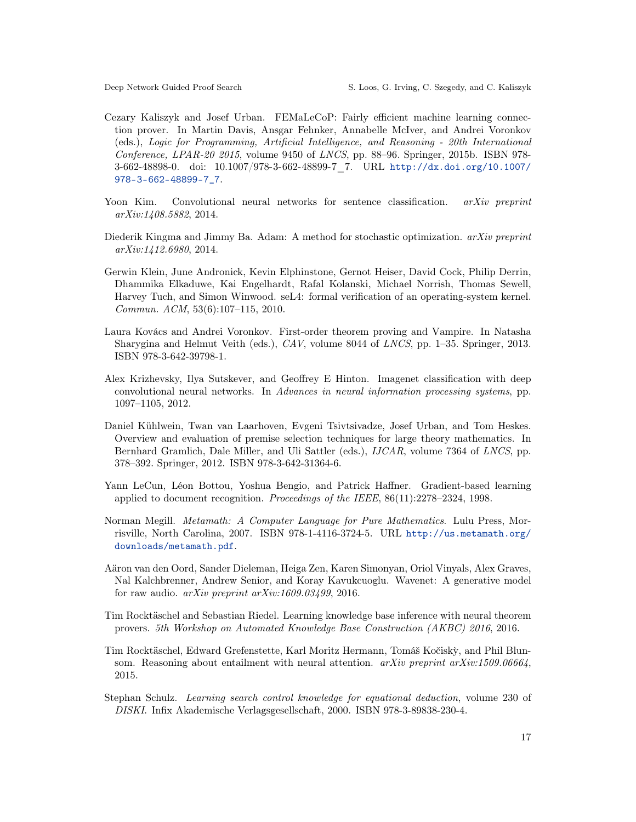- <span id="page-16-8"></span>Cezary Kaliszyk and Josef Urban. FEMaLeCoP: Fairly efficient machine learning connection prover. In Martin Davis, Ansgar Fehnker, Annabelle McIver, and Andrei Voronkov (eds.), Logic for Programming, Artificial Intelligence, and Reasoning - 20th International Conference, LPAR-20 2015, volume 9450 of LNCS, pp. 88–96. Springer, 2015b. ISBN 978- 3-662-48898-0. doi: 10.1007/978-3-662-48899-7\_7. URL [http://dx.doi.org/10.1007/](http://dx.doi.org/10.1007/978-3-662-48899-7_7) [978-3-662-48899-7\\_7](http://dx.doi.org/10.1007/978-3-662-48899-7_7).
- <span id="page-16-4"></span>Yoon Kim. Convolutional neural networks for sentence classification. *arXiv preprint* arXiv:1408.5882, 2014.
- <span id="page-16-12"></span>Diederik Kingma and Jimmy Ba. Adam: A method for stochastic optimization. *arXiv preprint* arXiv:1412.6980, 2014.
- <span id="page-16-1"></span>Gerwin Klein, June Andronick, Kevin Elphinstone, Gernot Heiser, David Cock, Philip Derrin, Dhammika Elkaduwe, Kai Engelhardt, Rafal Kolanski, Michael Norrish, Thomas Sewell, Harvey Tuch, and Simon Winwood. seL4: formal verification of an operating-system kernel. Commun. ACM, 53(6):107–115, 2010.
- <span id="page-16-0"></span>Laura Kovács and Andrei Voronkov. First-order theorem proving and Vampire. In Natasha Sharygina and Helmut Veith (eds.), CAV, volume 8044 of LNCS, pp. 1–35. Springer, 2013. ISBN 978-3-642-39798-1.
- <span id="page-16-5"></span>Alex Krizhevsky, Ilya Sutskever, and Geoffrey E Hinton. Imagenet classification with deep convolutional neural networks. In Advances in neural information processing systems, pp. 1097–1105, 2012.
- <span id="page-16-2"></span>Daniel Kühlwein, Twan van Laarhoven, Evgeni Tsivtsivadze, Josef Urban, and Tom Heskes. Overview and evaluation of premise selection techniques for large theory mathematics. In Bernhard Gramlich, Dale Miller, and Uli Sattler (eds.), IJCAR, volume 7364 of LNCS, pp. 378–392. Springer, 2012. ISBN 978-3-642-31364-6.
- <span id="page-16-3"></span>Yann LeCun, Léon Bottou, Yoshua Bengio, and Patrick Haffner. Gradient-based learning applied to document recognition. Proceedings of the IEEE, 86(11):2278–2324, 1998.
- <span id="page-16-9"></span>Norman Megill. Metamath: A Computer Language for Pure Mathematics. Lulu Press, Morrisville, North Carolina, 2007. ISBN 978-1-4116-3724-5. URL [http://us.metamath.org/](http://us.metamath.org/downloads/metamath.pdf) [downloads/metamath.pdf](http://us.metamath.org/downloads/metamath.pdf).
- <span id="page-16-6"></span>Aäron van den Oord, Sander Dieleman, Heiga Zen, Karen Simonyan, Oriol Vinyals, Alex Graves, Nal Kalchbrenner, Andrew Senior, and Koray Kavukcuoglu. Wavenet: A generative model for raw audio. arXiv preprint arXiv:1609.03499, 2016.
- <span id="page-16-10"></span>Tim Rocktäschel and Sebastian Riedel. Learning knowledge base inference with neural theorem provers. 5th Workshop on Automated Knowledge Base Construction (AKBC) 2016, 2016.
- <span id="page-16-11"></span>Tim Rocktäschel, Edward Grefenstette, Karl Moritz Hermann, Tomáš Kočisk`y, and Phil Blunsom. Reasoning about entailment with neural attention.  $arXiv$  preprint  $arXiv:1509.06664$ , 2015.
- <span id="page-16-7"></span>Stephan Schulz. Learning search control knowledge for equational deduction, volume 230 of DISKI. Infix Akademische Verlagsgesellschaft, 2000. ISBN 978-3-89838-230-4.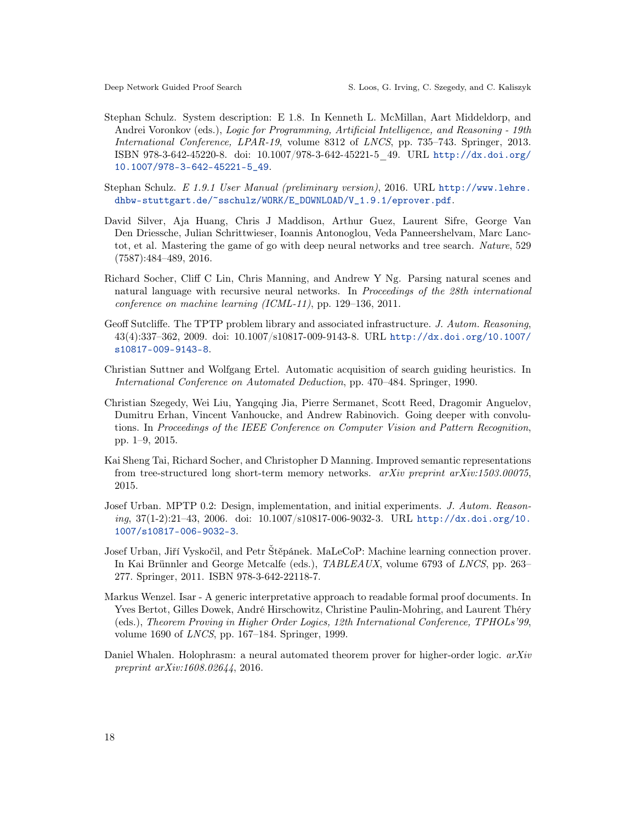- <span id="page-17-4"></span>Stephan Schulz. System description: E 1.8. In Kenneth L. McMillan, Aart Middeldorp, and Andrei Voronkov (eds.), Logic for Programming, Artificial Intelligence, and Reasoning - 19th International Conference, LPAR-19, volume 8312 of LNCS, pp. 735–743. Springer, 2013. ISBN 978-3-642-45220-8. doi: 10.1007/978-3-642-45221-5\_49. URL [http://dx.doi.org/](http://dx.doi.org/10.1007/978-3-642-45221-5_49) [10.1007/978-3-642-45221-5\\_49](http://dx.doi.org/10.1007/978-3-642-45221-5_49).
- <span id="page-17-11"></span>Stephan Schulz. E 1.9.1 User Manual (preliminary version), 2016. URL [http://www.lehre.](http://www.lehre.dhbw-stuttgart.de/~sschulz/WORK/E_DOWNLOAD/V_1.9.1/eprover.pdf) [dhbw-stuttgart.de/~sschulz/WORK/E\\_DOWNLOAD/V\\_1.9.1/eprover.pdf](http://www.lehre.dhbw-stuttgart.de/~sschulz/WORK/E_DOWNLOAD/V_1.9.1/eprover.pdf).
- <span id="page-17-6"></span>David Silver, Aja Huang, Chris J Maddison, Arthur Guez, Laurent Sifre, George Van Den Driessche, Julian Schrittwieser, Ioannis Antonoglou, Veda Panneershelvam, Marc Lanctot, et al. Mastering the game of go with deep neural networks and tree search. Nature, 529 (7587):484–489, 2016.
- <span id="page-17-9"></span>Richard Socher, Cliff C Lin, Chris Manning, and Andrew Y Ng. Parsing natural scenes and natural language with recursive neural networks. In Proceedings of the 28th international conference on machine learning (ICML-11), pp. 129–136, 2011.
- <span id="page-17-0"></span>Geoff Sutcliffe. The TPTP problem library and associated infrastructure. J. Autom. Reasoning, 43(4):337–362, 2009. doi: 10.1007/s10817-009-9143-8. URL [http://dx.doi.org/10.1007/](http://dx.doi.org/10.1007/s10817-009-9143-8) [s10817-009-9143-8](http://dx.doi.org/10.1007/s10817-009-9143-8).
- <span id="page-17-7"></span>Christian Suttner and Wolfgang Ertel. Automatic acquisition of search guiding heuristics. In International Conference on Automated Deduction, pp. 470–484. Springer, 1990.
- <span id="page-17-5"></span>Christian Szegedy, Wei Liu, Yangqing Jia, Pierre Sermanet, Scott Reed, Dragomir Anguelov, Dumitru Erhan, Vincent Vanhoucke, and Andrew Rabinovich. Going deeper with convolutions. In Proceedings of the IEEE Conference on Computer Vision and Pattern Recognition, pp. 1–9, 2015.
- <span id="page-17-10"></span>Kai Sheng Tai, Richard Socher, and Christopher D Manning. Improved semantic representations from tree-structured long short-term memory networks. arXiv preprint arXiv:1503.00075, 2015.
- <span id="page-17-2"></span>Josef Urban. MPTP 0.2: Design, implementation, and initial experiments. J. Autom. Reasoning, 37(1-2):21–43, 2006. doi: 10.1007/s10817-006-9032-3. URL [http://dx.doi.org/10.](http://dx.doi.org/10.1007/s10817-006-9032-3) [1007/s10817-006-9032-3](http://dx.doi.org/10.1007/s10817-006-9032-3).
- <span id="page-17-3"></span>Josef Urban, Jiří Vyskočil, and Petr Štěpánek. MaLeCoP: Machine learning connection prover. In Kai Brünnler and George Metcalfe (eds.), TABLEAUX, volume 6793 of LNCS, pp. 263– 277. Springer, 2011. ISBN 978-3-642-22118-7.
- <span id="page-17-1"></span>Markus Wenzel. Isar - A generic interpretative approach to readable formal proof documents. In Yves Bertot, Gilles Dowek, André Hirschowitz, Christine Paulin-Mohring, and Laurent Théry (eds.), Theorem Proving in Higher Order Logics, 12th International Conference, TPHOLs'99, volume 1690 of LNCS, pp. 167–184. Springer, 1999.
- <span id="page-17-8"></span>Daniel Whalen. Holophrasm: a neural automated theorem prover for higher-order logic.  $arXiv$ preprint arXiv:1608.02644, 2016.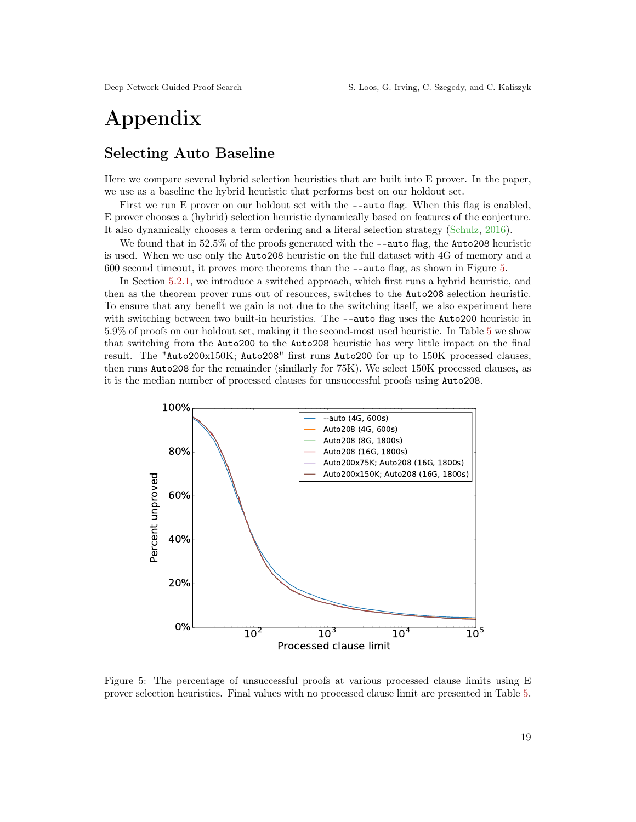# Appendix

## Selecting Auto Baseline

Here we compare several hybrid selection heuristics that are built into E prover. In the paper, we use as a baseline the hybrid heuristic that performs best on our holdout set.

First we run E prover on our holdout set with the  $-\text{auto flag.}$  When this flag is enabled, E prover chooses a (hybrid) selection heuristic dynamically based on features of the conjecture. It also dynamically chooses a term ordering and a literal selection strategy [\(Schulz,](#page-17-11) [2016\)](#page-17-11).

We found that in 52.5% of the proofs generated with the  $-\text{auto flag}$ , the Auto208 heuristic is used. When we use only the Auto208 heuristic on the full dataset with 4G of memory and a 600 second timeout, it proves more theorems than the --auto flag, as shown in Figure [5.](#page-18-0)

In Section [5.2.1,](#page-9-1) we introduce a switched approach, which first runs a hybrid heuristic, and then as the theorem prover runs out of resources, switches to the Auto208 selection heuristic. To ensure that any benefit we gain is not due to the switching itself, we also experiment here with switching between two built-in heuristics. The --auto flag uses the Auto200 heuristic in 5.9% of proofs on our holdout set, making it the second-most used heuristic. In Table [5](#page-19-0) we show that switching from the Auto200 to the Auto208 heuristic has very little impact on the final result. The "Auto200x150K; Auto208" first runs Auto200 for up to 150K processed clauses, then runs Auto208 for the remainder (similarly for 75K). We select 150K processed clauses, as it is the median number of processed clauses for unsuccessful proofs using Auto208.

<span id="page-18-0"></span>

Figure 5: The percentage of unsuccessful proofs at various processed clause limits using E prover selection heuristics. Final values with no processed clause limit are presented in Table [5.](#page-19-0)